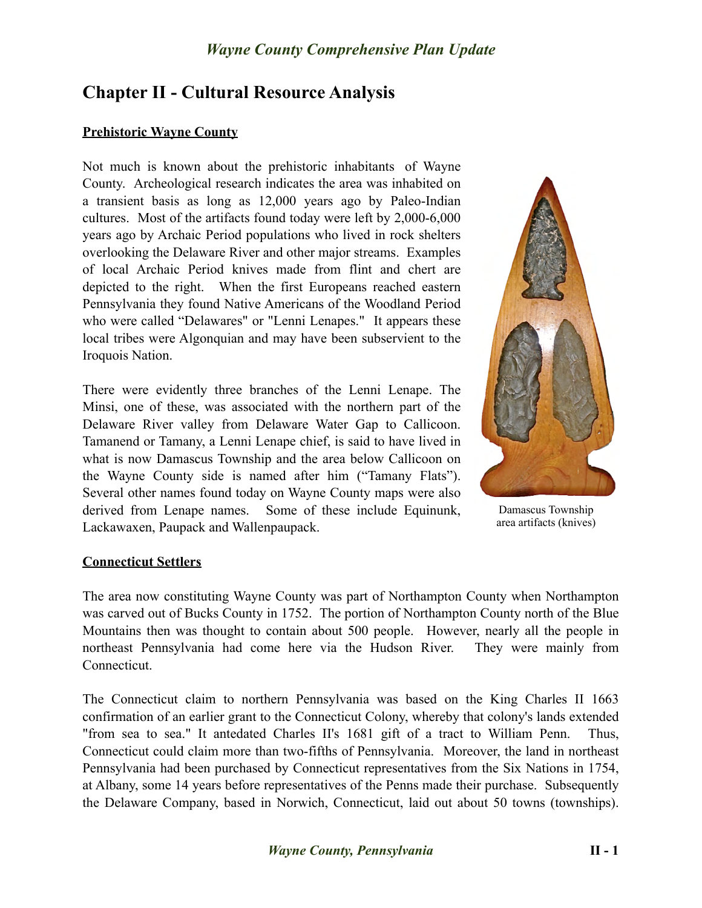# **Chapter II - Cultural Resource Analysis**

### **Prehistoric Wayne County**

Not much is known about the prehistoric inhabitants of Wayne County. Archeological research indicates the area was inhabited on a transient basis as long as 12,000 years ago by Paleo-Indian cultures. Most of the artifacts found today were left by 2,000-6,000 years ago by Archaic Period populations who lived in rock shelters overlooking the Delaware River and other major streams. Examples of local Archaic Period knives made from flint and chert are depicted to the right. When the first Europeans reached eastern Pennsylvania they found Native Americans of the Woodland Period who were called "Delawares" or "Lenni Lenapes." It appears these local tribes were Algonquian and may have been subservient to the Iroquois Nation.

There were evidently three branches of the Lenni Lenape. The Minsi, one of these, was associated with the northern part of the Delaware River valley from Delaware Water Gap to Callicoon. Tamanend or Tamany, a Lenni Lenape chief, is said to have lived in what is now Damascus Township and the area below Callicoon on the Wayne County side is named after him ("Tamany Flats"). Several other names found today on Wayne County maps were also derived from Lenape names. Some of these include Equinunk, Lackawaxen, Paupack and Wallenpaupack.



Damascus Township area artifacts (knives)

### **Connecticut Settlers**

The area now constituting Wayne County was part of Northampton County when Northampton was carved out of Bucks County in 1752. The portion of Northampton County north of the Blue Mountains then was thought to contain about 500 people. However, nearly all the people in northeast Pennsylvania had come here via the Hudson River. They were mainly from Connecticut.

The Connecticut claim to northern Pennsylvania was based on the King Charles II 1663 confirmation of an earlier grant to the Connecticut Colony, whereby that colony's lands extended "from sea to sea." It antedated Charles II's 1681 gift of a tract to William Penn. Thus, Connecticut could claim more than two-fifths of Pennsylvania. Moreover, the land in northeast Pennsylvania had been purchased by Connecticut representatives from the Six Nations in 1754, at Albany, some 14 years before representatives of the Penns made their purchase. Subsequently the Delaware Company, based in Norwich, Connecticut, laid out about 50 towns (townships).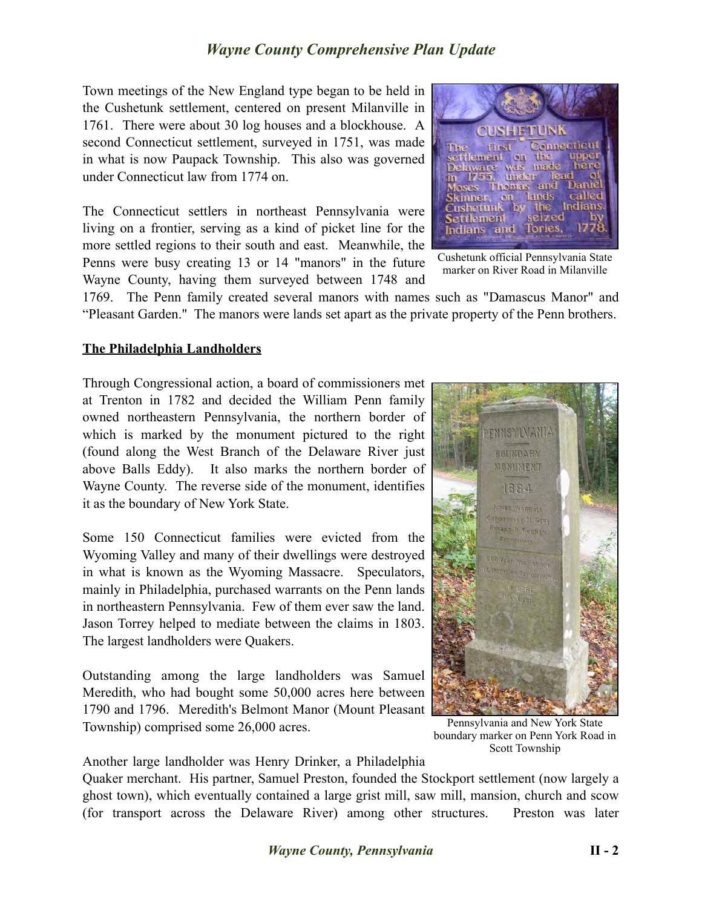Town meetings of the New England type began to be held in the Cushetunk settlement, centered on present Milanville in 1761. There were about 30 log houses and a blockhouse. A second Connecticut settlement, surveyed in 1751, was made in what is now Paupack Township. This also was governed under Connecticut law from 1774 on.

The Connecticut settlers in northeast Pennsylvania were living on a frontier, serving as a kind of picket line for the more settled regions to their south and east. Meanwhile, the Penns were busy creating 13 or 14 "manors" in the future Wayne County, having them surveyed between 1748 and



Cushetunk official Pennsylvania State marker on River Road in Milanville

1769. The Penn family created several manors with names such as "Damascus Manor" and "Pleasant Garden." The manors were lands set apart as the private property of the Penn brothers.

#### **The Philadelphia Landholders**

Through Congressional action, a board of commissioners met at Trenton in 1782 and decided the William Penn family owned northeastern Pennsylvania, the northern border of which is marked by the monument pictured to the right (found along the West Branch of the Delaware River just above Balls Eddy). It also marks the northern border of Wayne County. The reverse side of the monument, identifies it as the boundary of New York State.

Some 150 Connecticut families were evicted from the Wyoming Valley and many of their dwellings were destroyed in what is known as the Wyoming Massacre. Speculators, mainly in Philadelphia, purchased warrants on the Penn lands in northeastern Pennsylvania. Few of them ever saw the land. Jason Torrey helped to mediate between the claims in 1803. The largest landholders were Quakers.

Outstanding among the large landholders was Samuel Meredith, who had bought some 50,000 acres here between 1790 and 1796. Meredith's Belmont Manor (Mount Pleasant Township) comprised some 26,000 acres.

Another large landholder was Henry Drinker, a Philadelphia

Quaker merchant. His partner, Samuel Preston, founded the Stockport settlement (now largely a ghost town), which eventually contained a large grist mill, saw mill, mansion, church and scow (for transport across the Delaware River) among other structures. Preston was later



Pennsylvania and New York State boundary marker on Penn York Road in Scott Township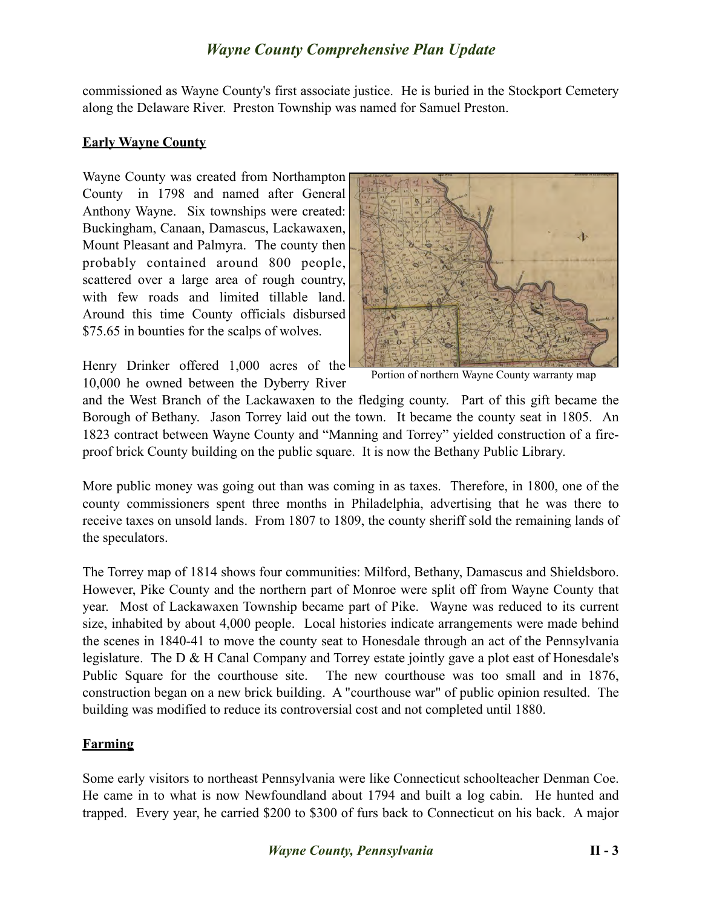commissioned as Wayne County's first associate justice. He is buried in the Stockport Cemetery along the Delaware River. Preston Township was named for Samuel Preston.

### **Early Wayne County**

Wayne County was created from Northampton County in 1798 and named after General Anthony Wayne. Six townships were created: Buckingham, Canaan, Damascus, Lackawaxen, Mount Pleasant and Palmyra. The county then probably contained around 800 people, scattered over a large area of rough country, with few roads and limited tillable land. Around this time County officials disbursed \$75.65 in bounties for the scalps of wolves.

Henry Drinker offered 1,000 acres of the 10,000 he owned between the Dyberry River



Portion of northern Wayne County warranty map

and the West Branch of the Lackawaxen to the fledging county. Part of this gift became the Borough of Bethany. Jason Torrey laid out the town. It became the county seat in 1805. An 1823 contract between Wayne County and "Manning and Torrey" yielded construction of a fireproof brick County building on the public square. It is now the Bethany Public Library.

More public money was going out than was coming in as taxes. Therefore, in 1800, one of the county commissioners spent three months in Philadelphia, advertising that he was there to receive taxes on unsold lands. From 1807 to 1809, the county sheriff sold the remaining lands of the speculators.

The Torrey map of 1814 shows four communities: Milford, Bethany, Damascus and Shieldsboro. However, Pike County and the northern part of Monroe were split off from Wayne County that year. Most of Lackawaxen Township became part of Pike. Wayne was reduced to its current size, inhabited by about 4,000 people. Local histories indicate arrangements were made behind the scenes in 1840-41 to move the county seat to Honesdale through an act of the Pennsylvania legislature. The D & H Canal Company and Torrey estate jointly gave a plot east of Honesdale's Public Square for the courthouse site. The new courthouse was too small and in 1876, construction began on a new brick building. A "courthouse war" of public opinion resulted. The building was modified to reduce its controversial cost and not completed until 1880.

### **Farming**

Some early visitors to northeast Pennsylvania were like Connecticut schoolteacher Denman Coe. He came in to what is now Newfoundland about 1794 and built a log cabin. He hunted and trapped. Every year, he carried \$200 to \$300 of furs back to Connecticut on his back. A major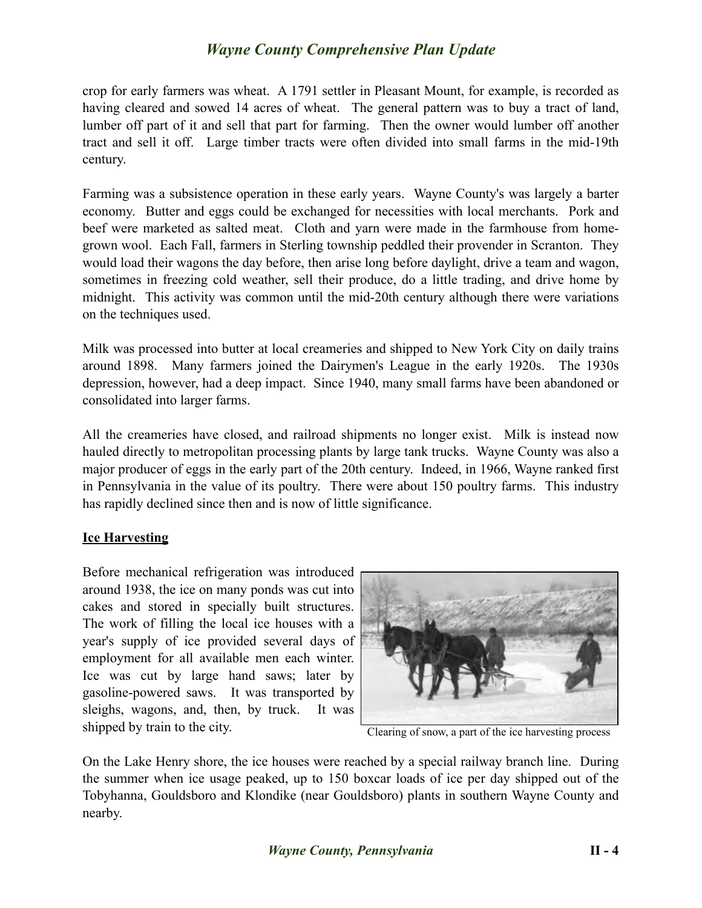crop for early farmers was wheat. A 1791 settler in Pleasant Mount, for example, is recorded as having cleared and sowed 14 acres of wheat. The general pattern was to buy a tract of land, lumber off part of it and sell that part for farming. Then the owner would lumber off another tract and sell it off. Large timber tracts were often divided into small farms in the mid-19th century.

Farming was a subsistence operation in these early years. Wayne County's was largely a barter economy. Butter and eggs could be exchanged for necessities with local merchants. Pork and beef were marketed as salted meat. Cloth and yarn were made in the farmhouse from homegrown wool. Each Fall, farmers in Sterling township peddled their provender in Scranton. They would load their wagons the day before, then arise long before daylight, drive a team and wagon, sometimes in freezing cold weather, sell their produce, do a little trading, and drive home by midnight. This activity was common until the mid-20th century although there were variations on the techniques used.

Milk was processed into butter at local creameries and shipped to New York City on daily trains around 1898. Many farmers joined the Dairymen's League in the early 1920s. The 1930s depression, however, had a deep impact. Since 1940, many small farms have been abandoned or consolidated into larger farms.

All the creameries have closed, and railroad shipments no longer exist. Milk is instead now hauled directly to metropolitan processing plants by large tank trucks. Wayne County was also a major producer of eggs in the early part of the 20th century. Indeed, in 1966, Wayne ranked first in Pennsylvania in the value of its poultry. There were about 150 poultry farms. This industry has rapidly declined since then and is now of little significance.

### **Ice Harvesting**

Before mechanical refrigeration was introduced around 1938, the ice on many ponds was cut into cakes and stored in specially built structures. The work of filling the local ice houses with a year's supply of ice provided several days of employment for all available men each winter. Ice was cut by large hand saws; later by gasoline-powered saws. It was transported by sleighs, wagons, and, then, by truck. It was shipped by train to the city.



Clearing of snow, a part of the ice harvesting process

On the Lake Henry shore, the ice houses were reached by a special railway branch line. During the summer when ice usage peaked, up to 150 boxcar loads of ice per day shipped out of the Tobyhanna, Gouldsboro and Klondike (near Gouldsboro) plants in southern Wayne County and nearby.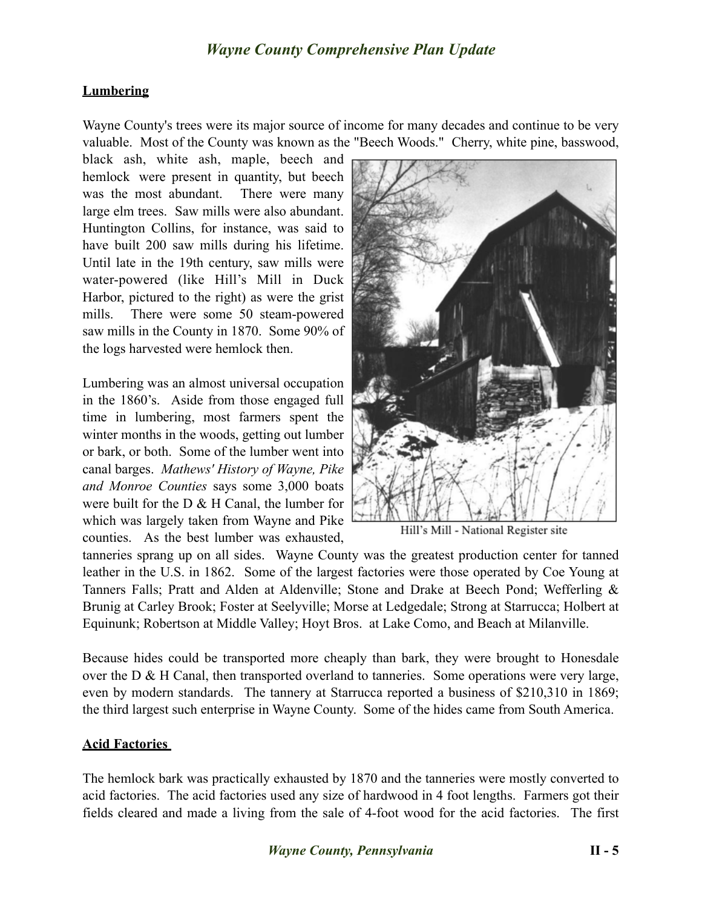#### **Lumbering**

Wayne County's trees were its major source of income for many decades and continue to be very valuable. Most of the County was known as the "Beech Woods." Cherry, white pine, basswood,

black ash, white ash, maple, beech and hemlock were present in quantity, but beech was the most abundant. There were many large elm trees. Saw mills were also abundant. Huntington Collins, for instance, was said to have built 200 saw mills during his lifetime. Until late in the 19th century, saw mills were water-powered (like Hill's Mill in Duck Harbor, pictured to the right) as were the grist mills. There were some 50 steam-powered saw mills in the County in 1870. Some 90% of the logs harvested were hemlock then.

Lumbering was an almost universal occupation in the 1860's. Aside from those engaged full time in lumbering, most farmers spent the winter months in the woods, getting out lumber or bark, or both. Some of the lumber went into canal barges. *Mathews' History of Wayne, Pike and Monroe Counties* says some 3,000 boats were built for the D & H Canal, the lumber for which was largely taken from Wayne and Pike counties. As the best lumber was exhausted,



Hill's Mill - National Register site

tanneries sprang up on all sides. Wayne County was the greatest production center for tanned leather in the U.S. in 1862. Some of the largest factories were those operated by Coe Young at Tanners Falls; Pratt and Alden at Aldenville; Stone and Drake at Beech Pond; Wefferling & Brunig at Carley Brook; Foster at Seelyville; Morse at Ledgedale; Strong at Starrucca; Holbert at Equinunk; Robertson at Middle Valley; Hoyt Bros. at Lake Como, and Beach at Milanville.

Because hides could be transported more cheaply than bark, they were brought to Honesdale over the D & H Canal, then transported overland to tanneries. Some operations were very large, even by modern standards. The tannery at Starrucca reported a business of \$210,310 in 1869; the third largest such enterprise in Wayne County. Some of the hides came from South America.

#### **Acid Factories**

The hemlock bark was practically exhausted by 1870 and the tanneries were mostly converted to acid factories. The acid factories used any size of hardwood in 4 foot lengths. Farmers got their fields cleared and made a living from the sale of 4-foot wood for the acid factories. The first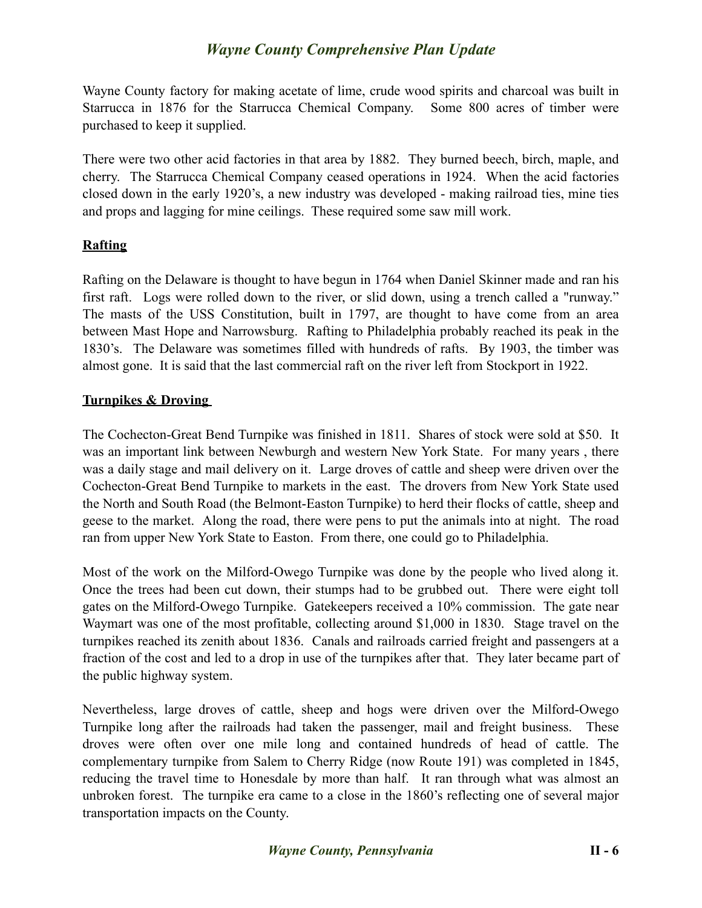Wayne County factory for making acetate of lime, crude wood spirits and charcoal was built in Starrucca in 1876 for the Starrucca Chemical Company. Some 800 acres of timber were purchased to keep it supplied.

There were two other acid factories in that area by 1882. They burned beech, birch, maple, and cherry. The Starrucca Chemical Company ceased operations in 1924. When the acid factories closed down in the early 1920's, a new industry was developed - making railroad ties, mine ties and props and lagging for mine ceilings. These required some saw mill work.

### **Rafting**

Rafting on the Delaware is thought to have begun in 1764 when Daniel Skinner made and ran his first raft. Logs were rolled down to the river, or slid down, using a trench called a "runway." The masts of the USS Constitution, built in 1797, are thought to have come from an area between Mast Hope and Narrowsburg. Rafting to Philadelphia probably reached its peak in the 1830's. The Delaware was sometimes filled with hundreds of rafts. By 1903, the timber was almost gone. It is said that the last commercial raft on the river left from Stockport in 1922.

### **Turnpikes & Droving**

The Cochecton-Great Bend Turnpike was finished in 1811. Shares of stock were sold at \$50. It was an important link between Newburgh and western New York State. For many years , there was a daily stage and mail delivery on it. Large droves of cattle and sheep were driven over the Cochecton-Great Bend Turnpike to markets in the east. The drovers from New York State used the North and South Road (the Belmont-Easton Turnpike) to herd their flocks of cattle, sheep and geese to the market. Along the road, there were pens to put the animals into at night. The road ran from upper New York State to Easton. From there, one could go to Philadelphia.

Most of the work on the Milford-Owego Turnpike was done by the people who lived along it. Once the trees had been cut down, their stumps had to be grubbed out. There were eight toll gates on the Milford-Owego Turnpike. Gatekeepers received a 10% commission. The gate near Waymart was one of the most profitable, collecting around \$1,000 in 1830. Stage travel on the turnpikes reached its zenith about 1836. Canals and railroads carried freight and passengers at a fraction of the cost and led to a drop in use of the turnpikes after that. They later became part of the public highway system.

Nevertheless, large droves of cattle, sheep and hogs were driven over the Milford-Owego Turnpike long after the railroads had taken the passenger, mail and freight business. These droves were often over one mile long and contained hundreds of head of cattle. The complementary turnpike from Salem to Cherry Ridge (now Route 191) was completed in 1845, reducing the travel time to Honesdale by more than half. It ran through what was almost an unbroken forest. The turnpike era came to a close in the 1860's reflecting one of several major transportation impacts on the County.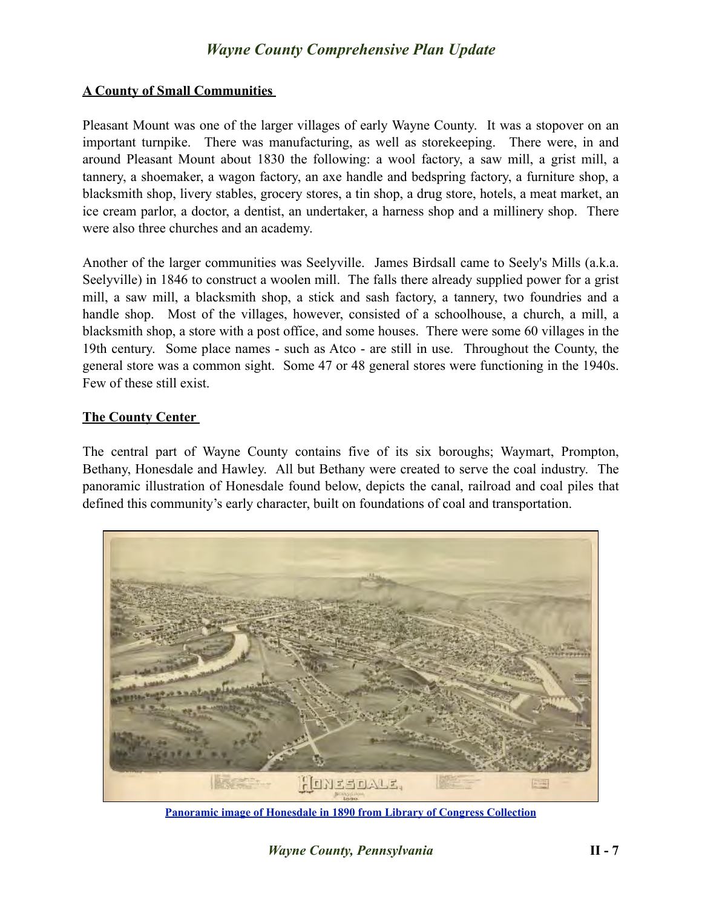#### **A County of Small Communities**

Pleasant Mount was one of the larger villages of early Wayne County. It was a stopover on an important turnpike. There was manufacturing, as well as storekeeping. There were, in and around Pleasant Mount about 1830 the following: a wool factory, a saw mill, a grist mill, a tannery, a shoemaker, a wagon factory, an axe handle and bedspring factory, a furniture shop, a blacksmith shop, livery stables, grocery stores, a tin shop, a drug store, hotels, a meat market, an ice cream parlor, a doctor, a dentist, an undertaker, a harness shop and a millinery shop. There were also three churches and an academy.

Another of the larger communities was Seelyville. James Birdsall came to Seely's Mills (a.k.a. Seelyville) in 1846 to construct a woolen mill. The falls there already supplied power for a grist mill, a saw mill, a blacksmith shop, a stick and sash factory, a tannery, two foundries and a handle shop. Most of the villages, however, consisted of a schoolhouse, a church, a mill, a blacksmith shop, a store with a post office, and some houses. There were some 60 villages in the 19th century. Some place names - such as Atco - are still in use. Throughout the County, the general store was a common sight. Some 47 or 48 general stores were functioning in the 1940s. Few of these still exist.

#### **The County Center**

The central part of Wayne County contains five of its six boroughs; Waymart, Prompton, Bethany, Honesdale and Hawley. All but Bethany were created to serve the coal industry. The panoramic illustration of Honesdale found below, depicts the canal, railroad and coal piles that defined this community's early character, built on foundations of coal and transportation.



**[Panoramic image of Honesdale in 1890 from Library of Congress Collection](http://memory.loc.gov/cgi-bin/map_item.pl?data=/home/www/data/gmd/gmd382/g3824/g3824h/pm007900.jp2&style=gmd&itemLink=D?gmd:1:./temp/~ammem_8JPU::@@@mdb=mcc,gottscho,detr,nfor,wpa,aap,cwar,bbpix,cowellbib,calbkbib,consrvbib,bdsbib,dag,fsaall,gmd,pan,vv,presp,varstg,suffrg,nawbib,horyd,wtc,toddbib,mgw,ncr,ngp,musdibib,hlaw,papr,lhbumbib,rbpebib,lbcoll,alad,hh,aaodyssey,magbell,bbcards,dcm,raelbib,runyon,dukesm,lomaxbib,mtj,gottlieb,aep,qlt,coolbib,fpnas,aasm,denn,relpet,amss,aaeo,mff,afc911bib,mjm,mnwp,rbcmillerbib,molden,ww2map,mfdipbib,afcnyebib,klpmap,hawp,omhbib,rbaapcbib,mal,ncpsbib,ncpm,lhbprbib,ftvbib,afcreed,aipn,cwband,flwpabib,wpapos,cmns,psbib,pin,coplandbib,cola,tccc,curt,mharendt,lhbcbbib,eaa,haybib,mesnbib,fine,cwnyhs,svybib,mmorse,afcwwgbib,mymhiwebib,uncall,afcwip,mtaft,manz,llstbib,fawbib,berl,fmuever,cdn,upboverbib,mussm,cic,afcpearl,awh,awhbib,sgp,wright,lhbtnbib,afcesnbib,hurstonbib,mreynoldsbib,spaldingbib,sgproto,scsmbib&title=Honesdale,%2520Pennsylvania%25201890.%2520Drawn%2520by%2520T.%2520M.%2520Fowler.%2520A.%2520E.%2520Downs,%2520lith.)**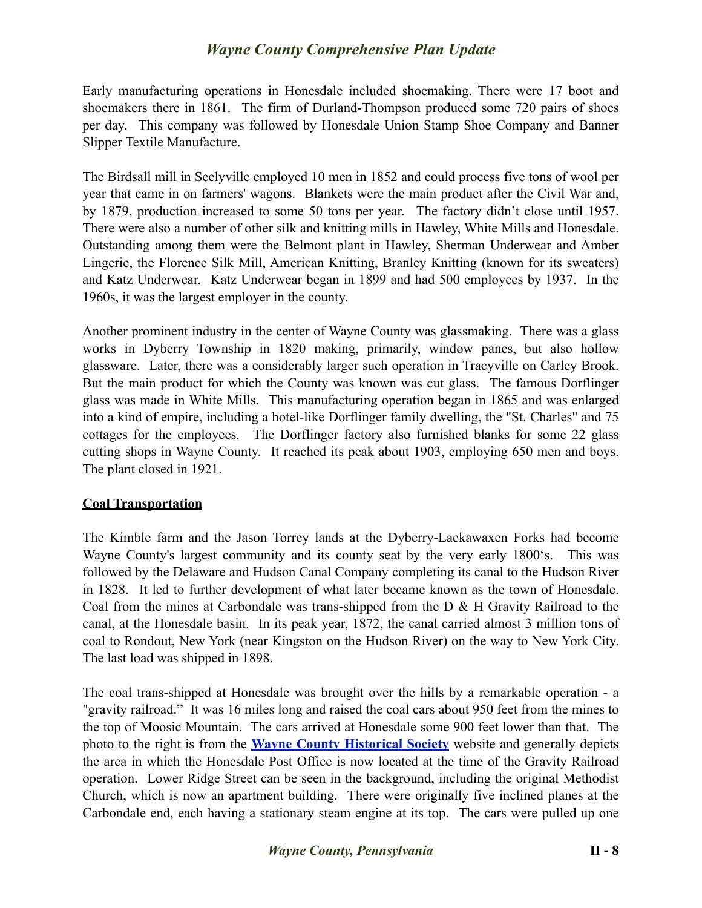Early manufacturing operations in Honesdale included shoemaking. There were 17 boot and shoemakers there in 1861. The firm of Durland-Thompson produced some 720 pairs of shoes per day. This company was followed by Honesdale Union Stamp Shoe Company and Banner Slipper Textile Manufacture.

The Birdsall mill in Seelyville employed 10 men in 1852 and could process five tons of wool per year that came in on farmers' wagons. Blankets were the main product after the Civil War and, by 1879, production increased to some 50 tons per year. The factory didn't close until 1957. There were also a number of other silk and knitting mills in Hawley, White Mills and Honesdale. Outstanding among them were the Belmont plant in Hawley, Sherman Underwear and Amber Lingerie, the Florence Silk Mill, American Knitting, Branley Knitting (known for its sweaters) and Katz Underwear. Katz Underwear began in 1899 and had 500 employees by 1937. In the 1960s, it was the largest employer in the county.

Another prominent industry in the center of Wayne County was glassmaking. There was a glass works in Dyberry Township in 1820 making, primarily, window panes, but also hollow glassware. Later, there was a considerably larger such operation in Tracyville on Carley Brook. But the main product for which the County was known was cut glass. The famous Dorflinger glass was made in White Mills. This manufacturing operation began in 1865 and was enlarged into a kind of empire, including a hotel-like Dorflinger family dwelling, the "St. Charles" and 75 cottages for the employees. The Dorflinger factory also furnished blanks for some 22 glass cutting shops in Wayne County. It reached its peak about 1903, employing 650 men and boys. The plant closed in 1921.

### **Coal Transportation**

The Kimble farm and the Jason Torrey lands at the Dyberry-Lackawaxen Forks had become Wayne County's largest community and its county seat by the very early 1800's. This was followed by the Delaware and Hudson Canal Company completing its canal to the Hudson River in 1828. It led to further development of what later became known as the town of Honesdale. Coal from the mines at Carbondale was trans-shipped from the D & H Gravity Railroad to the canal, at the Honesdale basin. In its peak year, 1872, the canal carried almost 3 million tons of coal to Rondout, New York (near Kingston on the Hudson River) on the way to New York City. The last load was shipped in 1898.

The coal trans-shipped at Honesdale was brought over the hills by a remarkable operation - a "gravity railroad." It was 16 miles long and raised the coal cars about 950 feet from the mines to the top of Moosic Mountain. The cars arrived at Honesdale some 900 feet lower than that. The photo to the right is from the **[Wayne County Historical Society](http://www.waynehistorypa.org/)** website and generally depicts the area in which the Honesdale Post Office is now located at the time of the Gravity Railroad operation. Lower Ridge Street can be seen in the background, including the original Methodist Church, which is now an apartment building. There were originally five inclined planes at the Carbondale end, each having a stationary steam engine at its top. The cars were pulled up one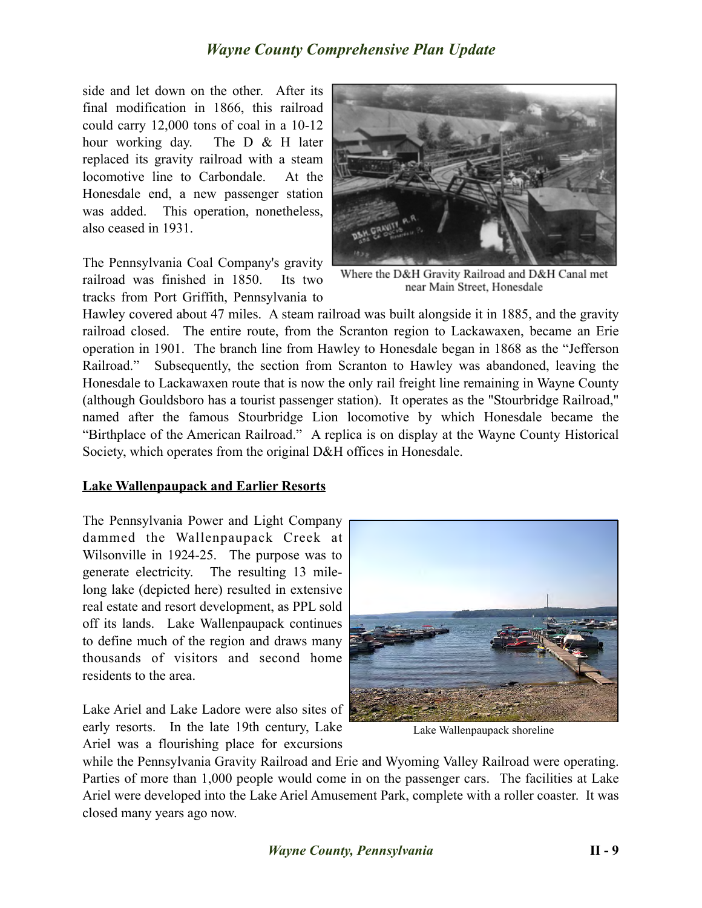side and let down on the other. After its final modification in 1866, this railroad could carry 12,000 tons of coal in a 10-12 hour working day. The D & H later replaced its gravity railroad with a steam locomotive line to Carbondale. At the Honesdale end, a new passenger station was added. This operation, nonetheless, also ceased in 1931.

The Pennsylvania Coal Company's gravity railroad was finished in 1850. Its two tracks from Port Griffith, Pennsylvania to



Where the D&H Gravity Railroad and D&H Canal met near Main Street, Honesdale

Hawley covered about 47 miles. A steam railroad was built alongside it in 1885, and the gravity railroad closed. The entire route, from the Scranton region to Lackawaxen, became an Erie operation in 1901. The branch line from Hawley to Honesdale began in 1868 as the "Jefferson Railroad." Subsequently, the section from Scranton to Hawley was abandoned, leaving the Honesdale to Lackawaxen route that is now the only rail freight line remaining in Wayne County (although Gouldsboro has a tourist passenger station). It operates as the "Stourbridge Railroad," named after the famous Stourbridge Lion locomotive by which Honesdale became the "Birthplace of the American Railroad." A replica is on display at the Wayne County Historical Society, which operates from the original D&H offices in Honesdale.

### **Lake Wallenpaupack and Earlier Resorts**

The Pennsylvania Power and Light Company dammed the Wallenpaupack Creek at Wilsonville in 1924-25. The purpose was to generate electricity. The resulting 13 milelong lake (depicted here) resulted in extensive real estate and resort development, as PPL sold off its lands. Lake Wallenpaupack continues to define much of the region and draws many thousands of visitors and second home residents to the area.

Lake Ariel and Lake Ladore were also sites of early resorts. In the late 19th century, Lake Ariel was a flourishing place for excursions



Lake Wallenpaupack shoreline

while the Pennsylvania Gravity Railroad and Erie and Wyoming Valley Railroad were operating. Parties of more than 1,000 people would come in on the passenger cars. The facilities at Lake Ariel were developed into the Lake Ariel Amusement Park, complete with a roller coaster. It was closed many years ago now.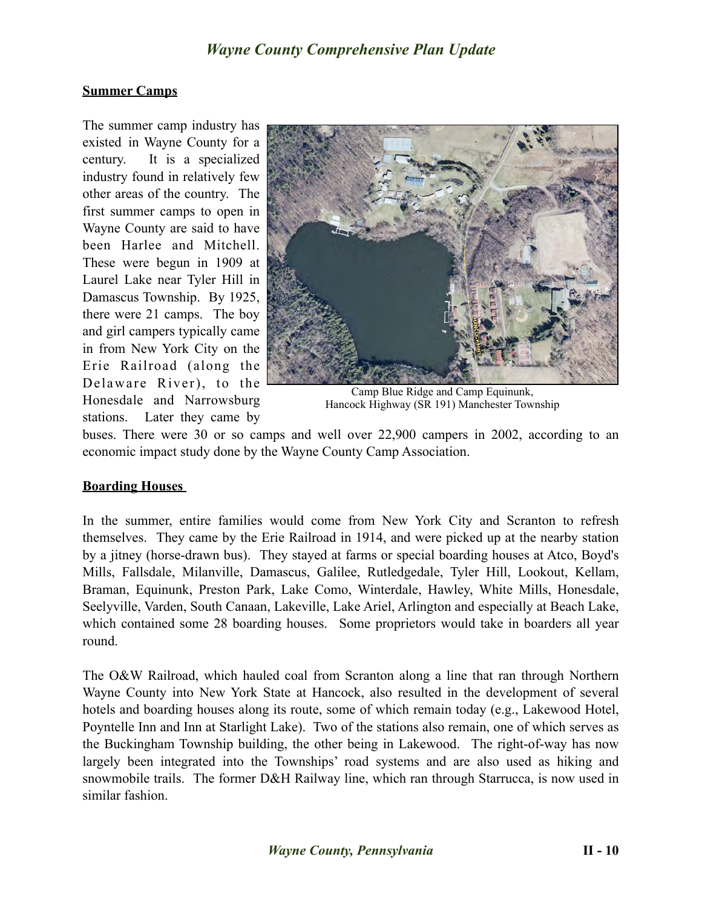### **Summer Camps**

The summer camp industry has existed in Wayne County for a century. It is a specialized industry found in relatively few other areas of the country. The first summer camps to open in Wayne County are said to have been Harlee and Mitchell. These were begun in 1909 at Laurel Lake near Tyler Hill in Damascus Township. By 1925, there were 21 camps. The boy and girl campers typically came in from New York City on the Erie Railroad (along the Delaware River), to the Honesdale and Narrowsburg stations. Later they came by



Camp Blue Ridge and Camp Equinunk, Hancock Highway (SR 191) Manchester Township

buses. There were 30 or so camps and well over 22,900 campers in 2002, according to an economic impact study done by the Wayne County Camp Association.

### **Boarding Houses**

In the summer, entire families would come from New York City and Scranton to refresh themselves. They came by the Erie Railroad in 1914, and were picked up at the nearby station by a jitney (horse-drawn bus). They stayed at farms or special boarding houses at Atco, Boyd's Mills, Fallsdale, Milanville, Damascus, Galilee, Rutledgedale, Tyler Hill, Lookout, Kellam, Braman, Equinunk, Preston Park, Lake Como, Winterdale, Hawley, White Mills, Honesdale, Seelyville, Varden, South Canaan, Lakeville, Lake Ariel, Arlington and especially at Beach Lake, which contained some 28 boarding houses. Some proprietors would take in boarders all year round.

The O&W Railroad, which hauled coal from Scranton along a line that ran through Northern Wayne County into New York State at Hancock, also resulted in the development of several hotels and boarding houses along its route, some of which remain today (e.g., Lakewood Hotel, Poyntelle Inn and Inn at Starlight Lake). Two of the stations also remain, one of which serves as the Buckingham Township building, the other being in Lakewood. The right-of-way has now largely been integrated into the Townships' road systems and are also used as hiking and snowmobile trails. The former D&H Railway line, which ran through Starrucca, is now used in similar fashion.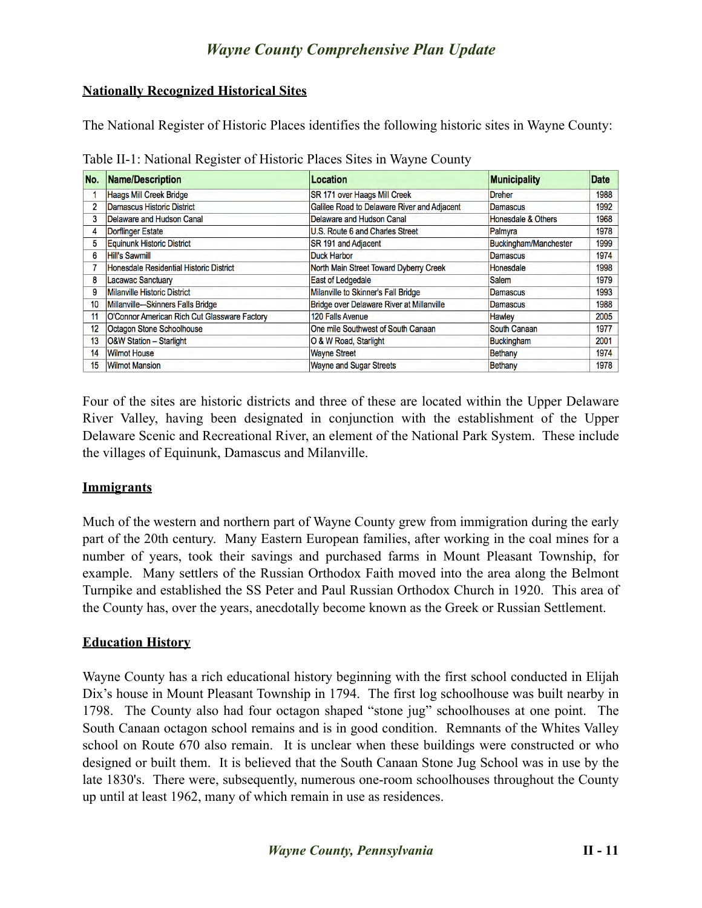### **Nationally Recognized Historical Sites**

The National Register of Historic Places identifies the following historic sites in Wayne County:

Table II-1: National Register of Historic Places Sites in Wayne County

| No.              | <b>Name/Description</b>                      | <b>Location</b>                             | <b>Municipality</b>   | <b>Date</b> |
|------------------|----------------------------------------------|---------------------------------------------|-----------------------|-------------|
|                  | <b>Haags Mill Creek Bridge</b>               | SR 171 over Haags Mill Creek                | <b>Dreher</b>         | 1988        |
| 2                | Damascus Historic District                   | Galilee Road to Delaware River and Adjacent | Damascus              | 1992        |
| 3                | Delaware and Hudson Canal                    | Delaware and Hudson Canal                   | Honesdale & Others    | 1968        |
| 4                | <b>Dorflinger Estate</b>                     | U.S. Route 6 and Charles Street             | Palmyra               | 1978        |
| 5                | <b>Equinunk Historic District</b>            | SR 191 and Adjacent                         | Buckingham/Manchester | 1999        |
| 6                | Hill's Sawmill                               | <b>Duck Harbor</b>                          | <b>Damascus</b>       | 1974        |
|                  | Honesdale Residential Historic District      | North Main Street Toward Dyberry Creek      | Honesdale             | 1998        |
| 8                | <b>Lacawac Sanctuary</b>                     | <b>East of Ledgedale</b>                    | <b>Salem</b>          | 1979        |
| 9                | <b>Milanville Historic District</b>          | Milanville to Skinner's Fall Bridge         | <b>Damascus</b>       | 1993        |
| 10 <sup>10</sup> | Millanville-Skinners Falls Bridge            | Bridge over Delaware River at Millanville   | <b>Damascus</b>       | 1988        |
| 11               | O'Connor American Rich Cut Glassware Factory | 120 Falls Avenue                            | <b>Hawley</b>         | 2005        |
| 12 <sup>2</sup>  | Octagon Stone Schoolhouse                    | One mile Southwest of South Canaan          | South Canaan          | 1977        |
| 13               | O&W Station - Starlight                      | O & W Road, Starlight                       | <b>Buckingham</b>     | 2001        |
| 14               | <b>Wilmot House</b>                          | <b>Wayne Street</b>                         | <b>Bethany</b>        | 1974        |
| 15               | <b>Wilmot Mansion</b>                        | <b>Wayne and Sugar Streets</b>              | <b>Bethany</b>        | 1978        |

Four of the sites are historic districts and three of these are located within the Upper Delaware River Valley, having been designated in conjunction with the establishment of the Upper Delaware Scenic and Recreational River, an element of the National Park System. These include the villages of Equinunk, Damascus and Milanville.

### **Immigrants**

Much of the western and northern part of Wayne County grew from immigration during the early part of the 20th century. Many Eastern European families, after working in the coal mines for a number of years, took their savings and purchased farms in Mount Pleasant Township, for example. Many settlers of the Russian Orthodox Faith moved into the area along the Belmont Turnpike and established the SS Peter and Paul Russian Orthodox Church in 1920. This area of the County has, over the years, anecdotally become known as the Greek or Russian Settlement.

### **Education History**

Wayne County has a rich educational history beginning with the first school conducted in Elijah Dix's house in Mount Pleasant Township in 1794. The first log schoolhouse was built nearby in 1798. The County also had four octagon shaped "stone jug" schoolhouses at one point. The South Canaan octagon school remains and is in good condition. Remnants of the Whites Valley school on Route 670 also remain. It is unclear when these buildings were constructed or who designed or built them. It is believed that the South Canaan Stone Jug School was in use by the late 1830's. There were, subsequently, numerous one-room schoolhouses throughout the County up until at least 1962, many of which remain in use as residences.